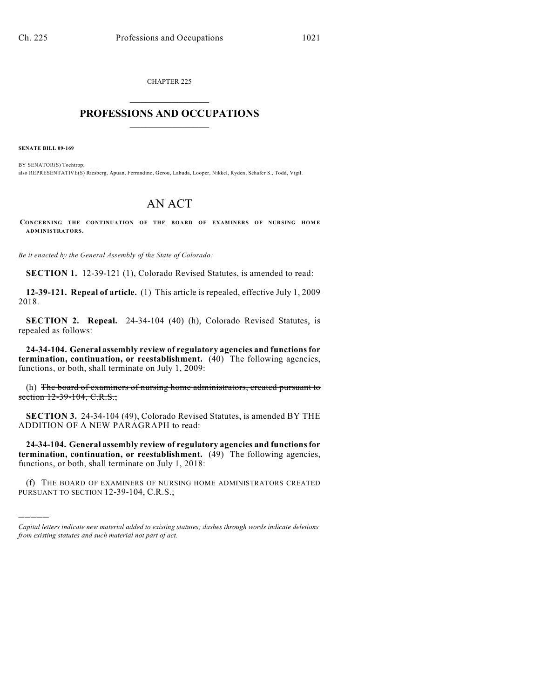CHAPTER 225  $\mathcal{L}_\text{max}$  . The set of the set of the set of the set of the set of the set of the set of the set of the set of the set of the set of the set of the set of the set of the set of the set of the set of the set of the set

## **PROFESSIONS AND OCCUPATIONS**  $\frac{1}{2}$  ,  $\frac{1}{2}$  ,  $\frac{1}{2}$  ,  $\frac{1}{2}$  ,  $\frac{1}{2}$  ,  $\frac{1}{2}$

**SENATE BILL 09-169**

)))))

BY SENATOR(S) Tochtrop; also REPRESENTATIVE(S) Riesberg, Apuan, Ferrandino, Gerou, Labuda, Looper, Nikkel, Ryden, Schafer S., Todd, Vigil.

## AN ACT

CONCERNING THE CONTINUATION OF THE BOARD OF EXAMINERS OF NURSING HOME **ADMINISTRATORS.**

*Be it enacted by the General Assembly of the State of Colorado:*

**SECTION 1.** 12-39-121 (1), Colorado Revised Statutes, is amended to read:

**12-39-121. Repeal of article.** (1) This article is repealed, effective July 1, 2009 2018.

**SECTION 2. Repeal.** 24-34-104 (40) (h), Colorado Revised Statutes, is repealed as follows:

**24-34-104. General assembly review of regulatory agencies and functions for termination, continuation, or reestablishment.** (40) The following agencies, functions, or both, shall terminate on July 1, 2009:

(h) The board of examiners of nursing home administrators, created pursuant to section 12-39-104, C.R.S.;

**SECTION 3.** 24-34-104 (49), Colorado Revised Statutes, is amended BY THE ADDITION OF A NEW PARAGRAPH to read:

**24-34-104. General assembly review of regulatory agencies and functions for termination, continuation, or reestablishment.** (49) The following agencies, functions, or both, shall terminate on July 1, 2018:

(f) THE BOARD OF EXAMINERS OF NURSING HOME ADMINISTRATORS CREATED PURSUANT TO SECTION 12-39-104, C.R.S.;

*Capital letters indicate new material added to existing statutes; dashes through words indicate deletions from existing statutes and such material not part of act.*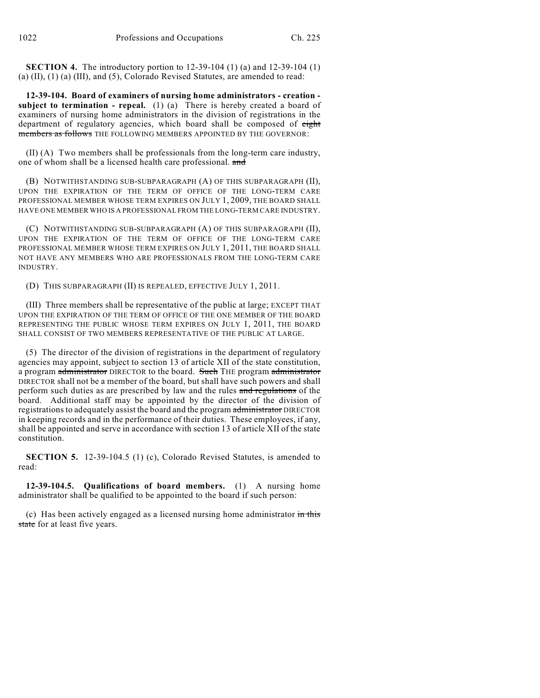**SECTION 4.** The introductory portion to 12-39-104 (1) (a) and 12-39-104 (1) (a) (II), (1) (a) (III), and (5), Colorado Revised Statutes, are amended to read:

**12-39-104. Board of examiners of nursing home administrators - creation subject to termination - repeal.** (1) (a) There is hereby created a board of examiners of nursing home administrators in the division of registrations in the department of regulatory agencies, which board shall be composed of eight members as follows THE FOLLOWING MEMBERS APPOINTED BY THE GOVERNOR:

(II) (A) Two members shall be professionals from the long-term care industry, one of whom shall be a licensed health care professional. and

(B) NOTWITHSTANDING SUB-SUBPARAGRAPH (A) OF THIS SUBPARAGRAPH (II), UPON THE EXPIRATION OF THE TERM OF OFFICE OF THE LONG-TERM CARE PROFESSIONAL MEMBER WHOSE TERM EXPIRES ON JULY 1, 2009, THE BOARD SHALL HAVE ONE MEMBER WHO IS A PROFESSIONAL FROM THE LONG-TERM CARE INDUSTRY.

(C) NOTWITHSTANDING SUB-SUBPARAGRAPH (A) OF THIS SUBPARAGRAPH (II), UPON THE EXPIRATION OF THE TERM OF OFFICE OF THE LONG-TERM CARE PROFESSIONAL MEMBER WHOSE TERM EXPIRES ON JULY 1, 2011, THE BOARD SHALL NOT HAVE ANY MEMBERS WHO ARE PROFESSIONALS FROM THE LONG-TERM CARE INDUSTRY.

(D) THIS SUBPARAGRAPH (II) IS REPEALED, EFFECTIVE JULY 1, 2011.

(III) Three members shall be representative of the public at large; EXCEPT THAT UPON THE EXPIRATION OF THE TERM OF OFFICE OF THE ONE MEMBER OF THE BOARD REPRESENTING THE PUBLIC WHOSE TERM EXPIRES ON JULY 1, 2011, THE BOARD SHALL CONSIST OF TWO MEMBERS REPRESENTATIVE OF THE PUBLIC AT LARGE.

(5) The director of the division of registrations in the department of regulatory agencies may appoint, subject to section 13 of article XII of the state constitution, a program administrator DIRECTOR to the board. Such THE program administrator DIRECTOR shall not be a member of the board, but shall have such powers and shall perform such duties as are prescribed by law and the rules and regulations of the board. Additional staff may be appointed by the director of the division of registrations to adequately assist the board and the program administrator DIRECTOR in keeping records and in the performance of their duties. These employees, if any, shall be appointed and serve in accordance with section 13 of article XII of the state constitution.

**SECTION 5.** 12-39-104.5 (1) (c), Colorado Revised Statutes, is amended to read:

**12-39-104.5. Qualifications of board members.** (1) A nursing home administrator shall be qualified to be appointed to the board if such person:

(c) Has been actively engaged as a licensed nursing home administrator in this state for at least five years.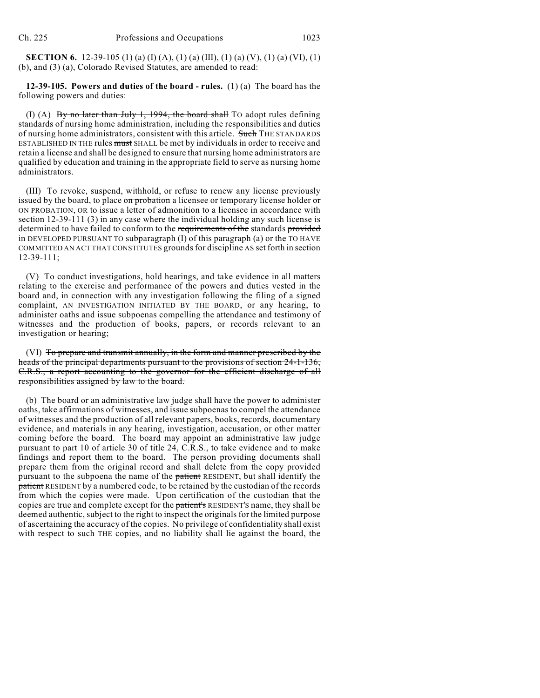**SECTION 6.** 12-39-105 (1) (a) (I) (A), (1) (a) (III), (1) (a) (V), (1) (a) (VI), (1) (b), and (3) (a), Colorado Revised Statutes, are amended to read:

## **12-39-105. Powers and duties of the board - rules.** (1) (a) The board has the following powers and duties:

(I) (A) By no later than July 1, 1994, the board shall TO adopt rules defining standards of nursing home administration, including the responsibilities and duties of nursing home administrators, consistent with this article. Such THE STANDARDS ESTABLISHED IN THE rules must SHALL be met by individuals in order to receive and retain a license and shall be designed to ensure that nursing home administrators are qualified by education and training in the appropriate field to serve as nursing home administrators.

(III) To revoke, suspend, withhold, or refuse to renew any license previously issued by the board, to place on probation a licensee or temporary license holder or ON PROBATION, OR to issue a letter of admonition to a licensee in accordance with section 12-39-111 (3) in any case where the individual holding any such license is determined to have failed to conform to the requirements of the standards provided  $\overline{m}$  DEVELOPED PURSUANT TO subparagraph (I) of this paragraph (a) or the TO HAVE COMMITTED AN ACT THAT CONSTITUTES grounds for discipline AS set forth in section 12-39-111;

(V) To conduct investigations, hold hearings, and take evidence in all matters relating to the exercise and performance of the powers and duties vested in the board and, in connection with any investigation following the filing of a signed complaint, AN INVESTIGATION INITIATED BY THE BOARD, or any hearing, to administer oaths and issue subpoenas compelling the attendance and testimony of witnesses and the production of books, papers, or records relevant to an investigation or hearing;

(VI) To prepare and transmit annually, in the form and manner prescribed by the heads of the principal departments pursuant to the provisions of section 24-1-136, C.R.S., a report accounting to the governor for the efficient discharge of all responsibilities assigned by law to the board.

(b) The board or an administrative law judge shall have the power to administer oaths, take affirmations of witnesses, and issue subpoenas to compel the attendance of witnesses and the production of all relevant papers, books, records, documentary evidence, and materials in any hearing, investigation, accusation, or other matter coming before the board. The board may appoint an administrative law judge pursuant to part 10 of article 30 of title 24, C.R.S., to take evidence and to make findings and report them to the board. The person providing documents shall prepare them from the original record and shall delete from the copy provided pursuant to the subpoena the name of the patient RESIDENT, but shall identify the patient RESIDENT by a numbered code, to be retained by the custodian of the records from which the copies were made. Upon certification of the custodian that the copies are true and complete except for the patient's RESIDENT'S name, they shall be deemed authentic, subject to the right to inspect the originals for the limited purpose of ascertaining the accuracy of the copies. No privilege of confidentiality shall exist with respect to such THE copies, and no liability shall lie against the board, the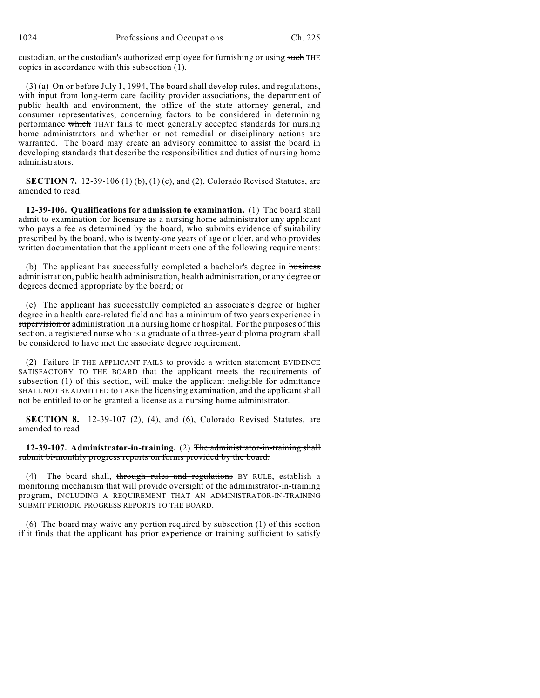custodian, or the custodian's authorized employee for furnishing or using such THE copies in accordance with this subsection (1).

(3) (a)  $\Theta$ n or before July 1, 1994, The board shall develop rules, and regulations, with input from long-term care facility provider associations, the department of public health and environment, the office of the state attorney general, and consumer representatives, concerning factors to be considered in determining performance which THAT fails to meet generally accepted standards for nursing home administrators and whether or not remedial or disciplinary actions are warranted. The board may create an advisory committee to assist the board in developing standards that describe the responsibilities and duties of nursing home administrators.

**SECTION 7.** 12-39-106 (1) (b), (1) (c), and (2), Colorado Revised Statutes, are amended to read:

**12-39-106. Qualifications for admission to examination.** (1) The board shall admit to examination for licensure as a nursing home administrator any applicant who pays a fee as determined by the board, who submits evidence of suitability prescribed by the board, who is twenty-one years of age or older, and who provides written documentation that the applicant meets one of the following requirements:

(b) The applicant has successfully completed a bachelor's degree in business administration, public health administration, health administration, or any degree or degrees deemed appropriate by the board; or

(c) The applicant has successfully completed an associate's degree or higher degree in a health care-related field and has a minimum of two years experience in supervision or administration in a nursing home or hospital. For the purposes of this section, a registered nurse who is a graduate of a three-year diploma program shall be considered to have met the associate degree requirement.

(2) Failure IF THE APPLICANT FAILS to provide  $a$  written statement EVIDENCE SATISFACTORY TO THE BOARD that the applicant meets the requirements of subsection (1) of this section, will make the applicant ineligible for admittance SHALL NOT BE ADMITTED to TAKE the licensing examination, and the applicant shall not be entitled to or be granted a license as a nursing home administrator.

**SECTION 8.** 12-39-107 (2), (4), and (6), Colorado Revised Statutes, are amended to read:

**12-39-107. Administrator-in-training.** (2) The administrator-in-training shall submit bi-monthly progress reports on forms provided by the board.

(4) The board shall, through rules and regulations BY RULE, establish a monitoring mechanism that will provide oversight of the administrator-in-training program, INCLUDING A REQUIREMENT THAT AN ADMINISTRATOR-IN-TRAINING SUBMIT PERIODIC PROGRESS REPORTS TO THE BOARD.

(6) The board may waive any portion required by subsection (1) of this section if it finds that the applicant has prior experience or training sufficient to satisfy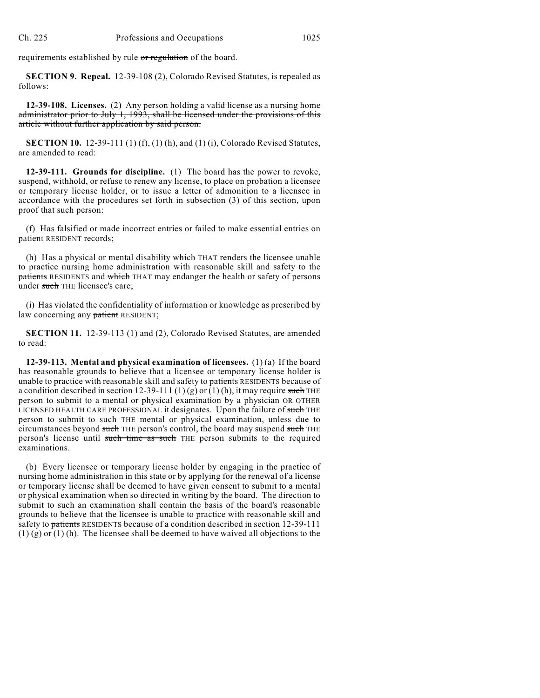requirements established by rule or regulation of the board.

**SECTION 9. Repeal.** 12-39-108 (2), Colorado Revised Statutes, is repealed as follows:

**12-39-108. Licenses.** (2) Any person holding a valid license as a nursing home administrator prior to July 1, 1993, shall be licensed under the provisions of this article without further application by said person.

**SECTION 10.** 12-39-111 (1) (f), (1) (h), and (1) (i), Colorado Revised Statutes, are amended to read:

**12-39-111. Grounds for discipline.** (1) The board has the power to revoke, suspend, withhold, or refuse to renew any license, to place on probation a licensee or temporary license holder, or to issue a letter of admonition to a licensee in accordance with the procedures set forth in subsection (3) of this section, upon proof that such person:

(f) Has falsified or made incorrect entries or failed to make essential entries on patient RESIDENT records;

(h) Has a physical or mental disability which THAT renders the licensee unable to practice nursing home administration with reasonable skill and safety to the patients RESIDENTS and which THAT may endanger the health or safety of persons under such THE licensee's care;

(i) Has violated the confidentiality of information or knowledge as prescribed by law concerning any patient RESIDENT;

**SECTION 11.** 12-39-113 (1) and (2), Colorado Revised Statutes, are amended to read:

**12-39-113. Mental and physical examination of licensees.** (1) (a) If the board has reasonable grounds to believe that a licensee or temporary license holder is unable to practice with reasonable skill and safety to patients RESIDENTS because of a condition described in section 12-39-111 (1) (g) or (1) (h), it may require such THE person to submit to a mental or physical examination by a physician OR OTHER LICENSED HEALTH CARE PROFESSIONAL it designates. Upon the failure of such THE person to submit to such THE mental or physical examination, unless due to circumstances beyond such THE person's control, the board may suspend such THE person's license until such time as such THE person submits to the required examinations.

(b) Every licensee or temporary license holder by engaging in the practice of nursing home administration in this state or by applying for the renewal of a license or temporary license shall be deemed to have given consent to submit to a mental or physical examination when so directed in writing by the board. The direction to submit to such an examination shall contain the basis of the board's reasonable grounds to believe that the licensee is unable to practice with reasonable skill and safety to patients RESIDENTS because of a condition described in section 12-39-111 (1) (g) or (1) (h). The licensee shall be deemed to have waived all objections to the